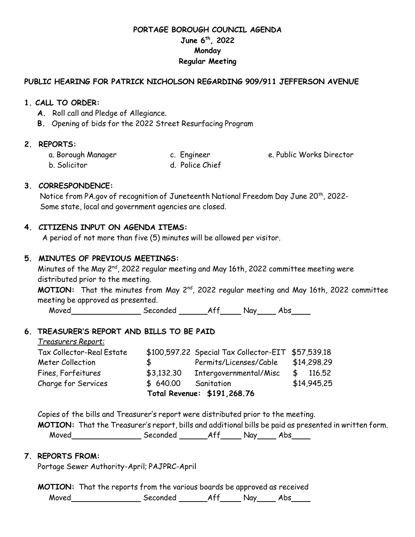# **PORTAGE BOROUGH COUNCIL AGENDA June 6th, 2022 Monday Regular Meeting**

### **PUBLIC HEARING FOR PATRICK NICHOLSON REGARDING 909/911 JEFFERSON AVENUE**

### **1. CALL TO ORDER:**

- **A.** Roll call and Pledge of Allegiance.
- **B.** Opening of bids for the 2022 Street Resurfacing Program

# **2. REPORTS:**

a. Borough Manager c. Engineer e. Public Works Director

b. Solicitor d. Police Chief

# **3. CORRESPONDENCE:**

Notice from PA.gov of recognition of Juneteenth National Freedom Day June 20<sup>th</sup>, 2022-Some state, local and government agencies are closed.

# **4. CITIZENS INPUT ON AGENDA ITEMS:**

A period of not more than five (5) minutes will be allowed per visitor.

# **5. MINUTES OF PREVIOUS MEETINGS:**

Minutes of the May 2<sup>nd</sup>, 2022 regular meeting and May 16th, 2022 committee meeting were distributed prior to the meeting. **MOTION:** That the minutes from May 2<sup>nd</sup>, 2022 regular meeting and May 16th, 2022 committee meeting be approved as presented.

Moved Seconded Aff Nay Abs

#### **6. TREASURER'S REPORT AND BILLS TO BE PAID**

| Total Revenue: \$191,268.76 |            |                                                    |             |
|-----------------------------|------------|----------------------------------------------------|-------------|
| Charge for Services         | \$640.00   | Sanitation                                         | \$14,945.25 |
| Fines, Forfeitures          | \$3,132.30 | Intergovernmental/Misc                             | \$116.52    |
| Meter Collection            | s.         | Permits/Licenses/Cable                             | \$14,298.29 |
| Tax Collector-Real Estate   |            | \$100,597.22 Special Tax Collector-EIT \$57,539.18 |             |
| <u> Treasurers Report:</u>  |            |                                                    |             |

Copies of the bills and Treasurer's report were distributed prior to the meeting.

**MOTION:** That the Treasurer's report, bills and additional bills be paid as presented in written form. Moved Seconded Aff Nay Abs

# **7. REPORTS FROM:**

Portage Sewer Authority-April; PAJPRC-April

**MOTION:** That the reports from the various boards be approved as received Moved Seconded Aff Nay Abs